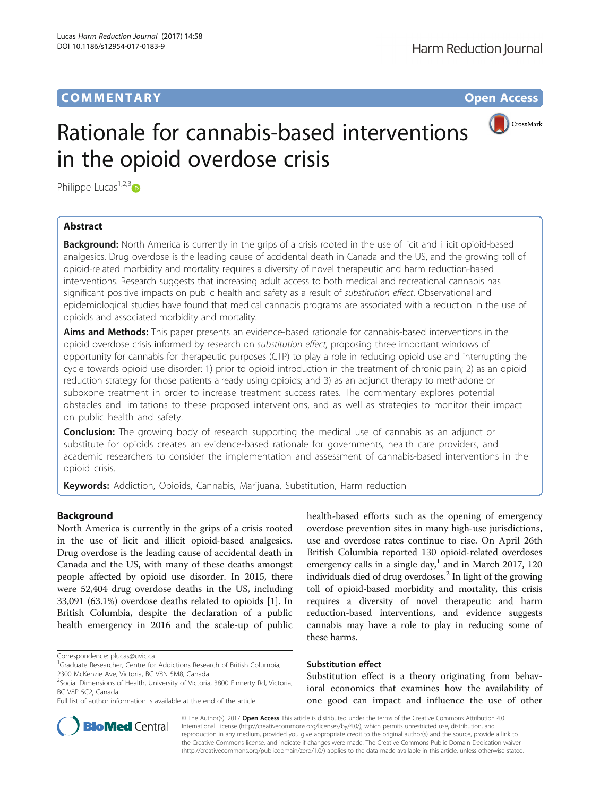# **COMMENTARY COMMENTARY Open Access**



# Rationale for cannabis-based interventions in the opioid overdose crisis

Philippe Lucas $1,2,3$ 

# Abstract

Background: North America is currently in the grips of a crisis rooted in the use of licit and illicit opioid-based analgesics. Drug overdose is the leading cause of accidental death in Canada and the US, and the growing toll of opioid-related morbidity and mortality requires a diversity of novel therapeutic and harm reduction-based interventions. Research suggests that increasing adult access to both medical and recreational cannabis has significant positive impacts on public health and safety as a result of substitution effect. Observational and epidemiological studies have found that medical cannabis programs are associated with a reduction in the use of opioids and associated morbidity and mortality.

Aims and Methods: This paper presents an evidence-based rationale for cannabis-based interventions in the opioid overdose crisis informed by research on substitution effect, proposing three important windows of opportunity for cannabis for therapeutic purposes (CTP) to play a role in reducing opioid use and interrupting the cycle towards opioid use disorder: 1) prior to opioid introduction in the treatment of chronic pain; 2) as an opioid reduction strategy for those patients already using opioids; and 3) as an adjunct therapy to methadone or suboxone treatment in order to increase treatment success rates. The commentary explores potential obstacles and limitations to these proposed interventions, and as well as strategies to monitor their impact on public health and safety.

**Conclusion:** The growing body of research supporting the medical use of cannabis as an adjunct or substitute for opioids creates an evidence-based rationale for governments, health care providers, and academic researchers to consider the implementation and assessment of cannabis-based interventions in the opioid crisis.

**Keywords:** Addiction, Opioids, Cannabis, Marijuana, Substitution, Harm reduction

# Background

North America is currently in the grips of a crisis rooted in the use of licit and illicit opioid-based analgesics. Drug overdose is the leading cause of accidental death in Canada and the US, with many of these deaths amongst people affected by opioid use disorder. In 2015, there were 52,404 drug overdose deaths in the US, including 33,091 (63.1%) overdose deaths related to opioids [\[1](#page-4-0)]. In British Columbia, despite the declaration of a public health emergency in 2016 and the scale-up of public

health-based efforts such as the opening of emergency overdose prevention sites in many high-use jurisdictions, use and overdose rates continue to rise. On April 26th British Columbia reported 130 opioid-related overdoses emergency calls in a single day, $<sup>1</sup>$  and in March 2017, 120</sup> individuals died of drug overdoses. $<sup>2</sup>$  In light of the growing</sup> toll of opioid-based morbidity and mortality, this crisis requires a diversity of novel therapeutic and harm reduction-based interventions, and evidence suggests cannabis may have a role to play in reducing some of these harms.

# Substitution effect

Substitution effect is a theory originating from behavioral economics that examines how the availability of one good can impact and influence the use of other



© The Author(s). 2017 **Open Access** This article is distributed under the terms of the Creative Commons Attribution 4.0 International License [\(http://creativecommons.org/licenses/by/4.0/](http://creativecommons.org/licenses/by/4.0/)), which permits unrestricted use, distribution, and reproduction in any medium, provided you give appropriate credit to the original author(s) and the source, provide a link to the Creative Commons license, and indicate if changes were made. The Creative Commons Public Domain Dedication waiver [\(http://creativecommons.org/publicdomain/zero/1.0/](http://creativecommons.org/publicdomain/zero/1.0/)) applies to the data made available in this article, unless otherwise stated.

Correspondence: [plucas@uvic.ca](mailto:plucas@uvic.ca) <sup>1</sup>

<sup>&</sup>lt;sup>1</sup>Graduate Researcher, Centre for Addictions Research of British Columbia, 2300 McKenzie Ave, Victoria, BC V8N 5M8, Canada

<sup>&</sup>lt;sup>2</sup>Social Dimensions of Health, University of Victoria, 3800 Finnerty Rd, Victoria, BC V8P 5C2, Canada

Full list of author information is available at the end of the article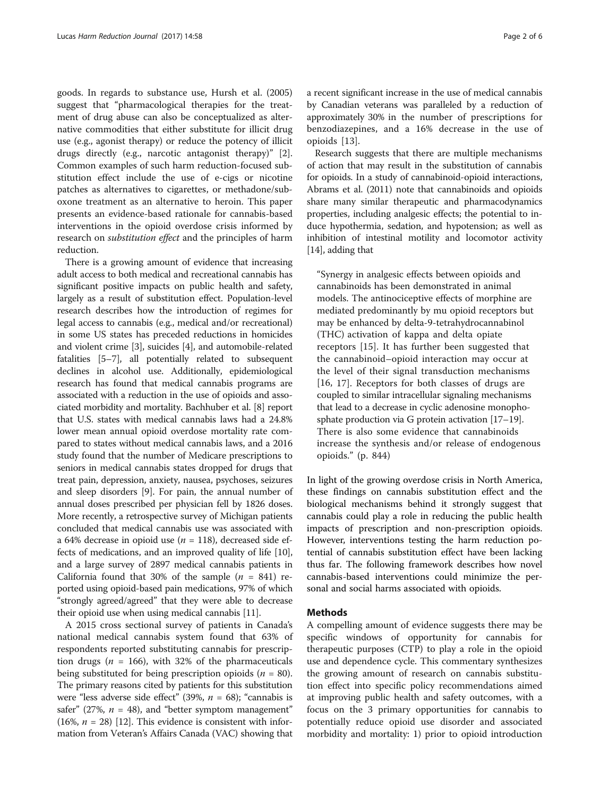goods. In regards to substance use, Hursh et al. (2005) suggest that "pharmacological therapies for the treatment of drug abuse can also be conceptualized as alternative commodities that either substitute for illicit drug use (e.g., agonist therapy) or reduce the potency of illicit drugs directly (e.g., narcotic antagonist therapy)" [\[2](#page-4-0)]. Common examples of such harm reduction-focused substitution effect include the use of e-cigs or nicotine patches as alternatives to cigarettes, or methadone/suboxone treatment as an alternative to heroin. This paper presents an evidence-based rationale for cannabis-based interventions in the opioid overdose crisis informed by research on substitution effect and the principles of harm reduction.

There is a growing amount of evidence that increasing adult access to both medical and recreational cannabis has significant positive impacts on public health and safety, largely as a result of substitution effect. Population-level research describes how the introduction of regimes for legal access to cannabis (e.g., medical and/or recreational) in some US states has preceded reductions in homicides and violent crime [[3](#page-4-0)], suicides [[4\]](#page-4-0), and automobile-related fatalities [\[5](#page-4-0)–[7\]](#page-5-0), all potentially related to subsequent declines in alcohol use. Additionally, epidemiological research has found that medical cannabis programs are associated with a reduction in the use of opioids and associated morbidity and mortality. Bachhuber et al. [\[8\]](#page-5-0) report that U.S. states with medical cannabis laws had a 24.8% lower mean annual opioid overdose mortality rate compared to states without medical cannabis laws, and a 2016 study found that the number of Medicare prescriptions to seniors in medical cannabis states dropped for drugs that treat pain, depression, anxiety, nausea, psychoses, seizures and sleep disorders [[9](#page-5-0)]. For pain, the annual number of annual doses prescribed per physician fell by 1826 doses. More recently, a retrospective survey of Michigan patients concluded that medical cannabis use was associated with a 64% decrease in opioid use ( $n = 118$ ), decreased side effects of medications, and an improved quality of life [[10](#page-5-0)], and a large survey of 2897 medical cannabis patients in California found that 30% of the sample  $(n = 841)$  reported using opioid-based pain medications, 97% of which "strongly agreed/agreed" that they were able to decrease their opioid use when using medical cannabis [\[11\]](#page-5-0).

A 2015 cross sectional survey of patients in Canada's national medical cannabis system found that 63% of respondents reported substituting cannabis for prescription drugs ( $n = 166$ ), with 32% of the pharmaceuticals being substituted for being prescription opioids ( $n = 80$ ). The primary reasons cited by patients for this substitution were "less adverse side effect" (39%,  $n = 68$ ); "cannabis is safer" (27%,  $n = 48$ ), and "better symptom management" (16%,  $n = 28$ ) [[12](#page-5-0)]. This evidence is consistent with information from Veteran's Affairs Canada (VAC) showing that a recent significant increase in the use of medical cannabis by Canadian veterans was paralleled by a reduction of approximately 30% in the number of prescriptions for benzodiazepines, and a 16% decrease in the use of opioids [\[13](#page-5-0)].

Research suggests that there are multiple mechanisms of action that may result in the substitution of cannabis for opioids. In a study of cannabinoid-opioid interactions, Abrams et al. (2011) note that cannabinoids and opioids share many similar therapeutic and pharmacodynamics properties, including analgesic effects; the potential to induce hypothermia, sedation, and hypotension; as well as inhibition of intestinal motility and locomotor activity [[14](#page-5-0)], adding that

"Synergy in analgesic effects between opioids and cannabinoids has been demonstrated in animal models. The antinociceptive effects of morphine are mediated predominantly by mu opioid receptors but may be enhanced by delta-9-tetrahydrocannabinol (THC) activation of kappa and delta opiate receptors [[15\]](#page-5-0). It has further been suggested that the cannabinoid–opioid interaction may occur at the level of their signal transduction mechanisms [[16,](#page-5-0) [17](#page-5-0)]. Receptors for both classes of drugs are coupled to similar intracellular signaling mechanisms that lead to a decrease in cyclic adenosine monophosphate production via G protein activation [[17](#page-5-0)–[19\]](#page-5-0). There is also some evidence that cannabinoids increase the synthesis and/or release of endogenous opioids." (p. 844)

In light of the growing overdose crisis in North America, these findings on cannabis substitution effect and the biological mechanisms behind it strongly suggest that cannabis could play a role in reducing the public health impacts of prescription and non-prescription opioids. However, interventions testing the harm reduction potential of cannabis substitution effect have been lacking thus far. The following framework describes how novel cannabis-based interventions could minimize the personal and social harms associated with opioids.

## Methods

A compelling amount of evidence suggests there may be specific windows of opportunity for cannabis for therapeutic purposes (CTP) to play a role in the opioid use and dependence cycle. This commentary synthesizes the growing amount of research on cannabis substitution effect into specific policy recommendations aimed at improving public health and safety outcomes, with a focus on the 3 primary opportunities for cannabis to potentially reduce opioid use disorder and associated morbidity and mortality: 1) prior to opioid introduction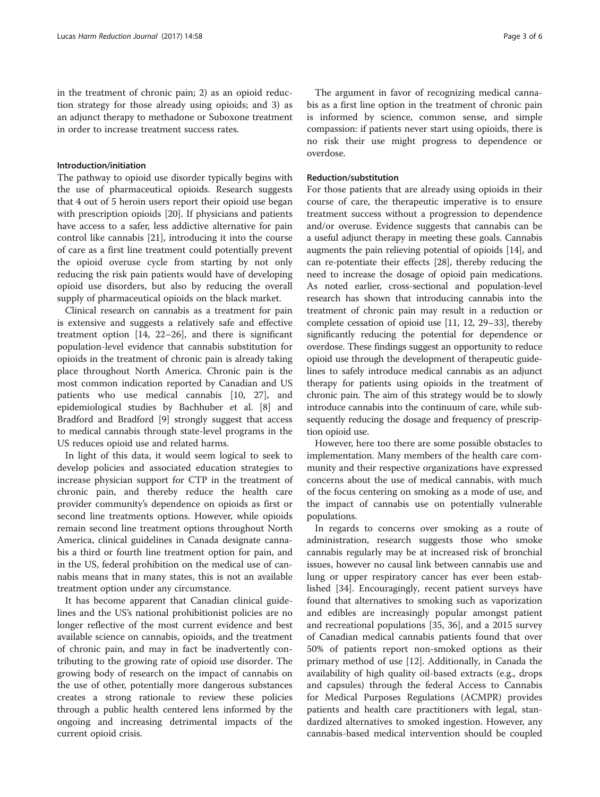in the treatment of chronic pain; 2) as an opioid reduction strategy for those already using opioids; and 3) as an adjunct therapy to methadone or Suboxone treatment in order to increase treatment success rates.

## Introduction/initiation

The pathway to opioid use disorder typically begins with the use of pharmaceutical opioids. Research suggests that 4 out of 5 heroin users report their opioid use began with prescription opioids [[20](#page-5-0)]. If physicians and patients have access to a safer, less addictive alternative for pain control like cannabis [\[21](#page-5-0)], introducing it into the course of care as a first line treatment could potentially prevent the opioid overuse cycle from starting by not only reducing the risk pain patients would have of developing opioid use disorders, but also by reducing the overall supply of pharmaceutical opioids on the black market.

Clinical research on cannabis as a treatment for pain is extensive and suggests a relatively safe and effective treatment option [\[14, 22](#page-5-0)–[26\]](#page-5-0), and there is significant population-level evidence that cannabis substitution for opioids in the treatment of chronic pain is already taking place throughout North America. Chronic pain is the most common indication reported by Canadian and US patients who use medical cannabis [[10, 27\]](#page-5-0), and epidemiological studies by Bachhuber et al. [[8\]](#page-5-0) and Bradford and Bradford [\[9](#page-5-0)] strongly suggest that access to medical cannabis through state-level programs in the US reduces opioid use and related harms.

In light of this data, it would seem logical to seek to develop policies and associated education strategies to increase physician support for CTP in the treatment of chronic pain, and thereby reduce the health care provider community's dependence on opioids as first or second line treatments options. However, while opioids remain second line treatment options throughout North America, clinical guidelines in Canada designate cannabis a third or fourth line treatment option for pain, and in the US, federal prohibition on the medical use of cannabis means that in many states, this is not an available treatment option under any circumstance.

It has become apparent that Canadian clinical guidelines and the US's national prohibitionist policies are no longer reflective of the most current evidence and best available science on cannabis, opioids, and the treatment of chronic pain, and may in fact be inadvertently contributing to the growing rate of opioid use disorder. The growing body of research on the impact of cannabis on the use of other, potentially more dangerous substances creates a strong rationale to review these policies through a public health centered lens informed by the ongoing and increasing detrimental impacts of the current opioid crisis.

The argument in favor of recognizing medical cannabis as a first line option in the treatment of chronic pain is informed by science, common sense, and simple compassion: if patients never start using opioids, there is no risk their use might progress to dependence or overdose.

## Reduction/substitution

For those patients that are already using opioids in their course of care, the therapeutic imperative is to ensure treatment success without a progression to dependence and/or overuse. Evidence suggests that cannabis can be a useful adjunct therapy in meeting these goals. Cannabis augments the pain relieving potential of opioids [[14](#page-5-0)], and can re-potentiate their effects [[28\]](#page-5-0), thereby reducing the need to increase the dosage of opioid pain medications. As noted earlier, cross-sectional and population-level research has shown that introducing cannabis into the treatment of chronic pain may result in a reduction or complete cessation of opioid use [[11](#page-5-0), [12](#page-5-0), [29](#page-5-0)–[33](#page-5-0)], thereby significantly reducing the potential for dependence or overdose. These findings suggest an opportunity to reduce opioid use through the development of therapeutic guidelines to safely introduce medical cannabis as an adjunct therapy for patients using opioids in the treatment of chronic pain. The aim of this strategy would be to slowly introduce cannabis into the continuum of care, while subsequently reducing the dosage and frequency of prescription opioid use.

However, here too there are some possible obstacles to implementation. Many members of the health care community and their respective organizations have expressed concerns about the use of medical cannabis, with much of the focus centering on smoking as a mode of use, and the impact of cannabis use on potentially vulnerable populations.

In regards to concerns over smoking as a route of administration, research suggests those who smoke cannabis regularly may be at increased risk of bronchial issues, however no causal link between cannabis use and lung or upper respiratory cancer has ever been established [[34](#page-5-0)]. Encouragingly, recent patient surveys have found that alternatives to smoking such as vaporization and edibles are increasingly popular amongst patient and recreational populations [\[35, 36](#page-5-0)], and a 2015 survey of Canadian medical cannabis patients found that over 50% of patients report non-smoked options as their primary method of use [\[12](#page-5-0)]. Additionally, in Canada the availability of high quality oil-based extracts (e.g., drops and capsules) through the federal Access to Cannabis for Medical Purposes Regulations (ACMPR) provides patients and health care practitioners with legal, standardized alternatives to smoked ingestion. However, any cannabis-based medical intervention should be coupled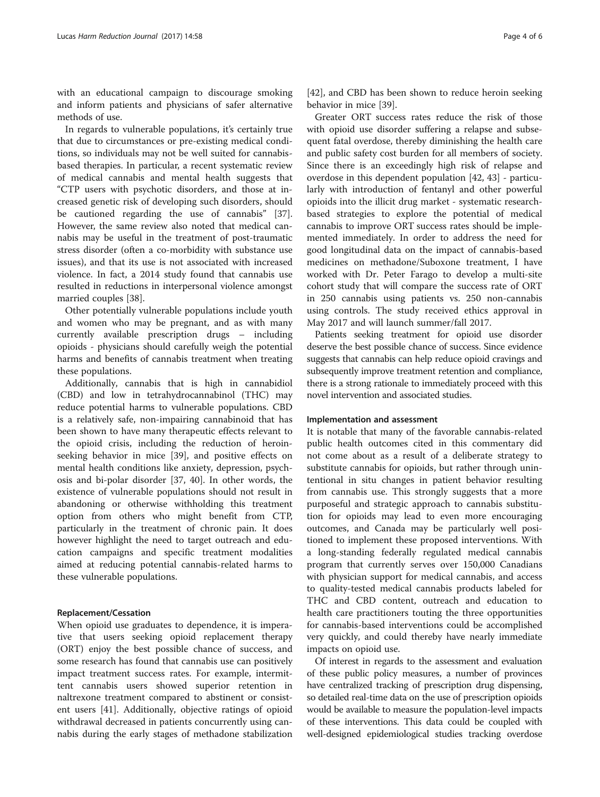with an educational campaign to discourage smoking and inform patients and physicians of safer alternative methods of use.

In regards to vulnerable populations, it's certainly true that due to circumstances or pre-existing medical conditions, so individuals may not be well suited for cannabisbased therapies. In particular, a recent systematic review of medical cannabis and mental health suggests that "CTP users with psychotic disorders, and those at increased genetic risk of developing such disorders, should be cautioned regarding the use of cannabis" [\[37](#page-5-0)]. However, the same review also noted that medical cannabis may be useful in the treatment of post-traumatic stress disorder (often a co-morbidity with substance use issues), and that its use is not associated with increased violence. In fact, a 2014 study found that cannabis use resulted in reductions in interpersonal violence amongst married couples [[38](#page-5-0)].

Other potentially vulnerable populations include youth and women who may be pregnant, and as with many currently available prescription drugs – including opioids - physicians should carefully weigh the potential harms and benefits of cannabis treatment when treating these populations.

Additionally, cannabis that is high in cannabidiol (CBD) and low in tetrahydrocannabinol (THC) may reduce potential harms to vulnerable populations. CBD is a relatively safe, non-impairing cannabinoid that has been shown to have many therapeutic effects relevant to the opioid crisis, including the reduction of heroinseeking behavior in mice [[39](#page-5-0)], and positive effects on mental health conditions like anxiety, depression, psychosis and bi-polar disorder [[37](#page-5-0), [40](#page-5-0)]. In other words, the existence of vulnerable populations should not result in abandoning or otherwise withholding this treatment option from others who might benefit from CTP, particularly in the treatment of chronic pain. It does however highlight the need to target outreach and education campaigns and specific treatment modalities aimed at reducing potential cannabis-related harms to these vulnerable populations.

## Replacement/Cessation

When opioid use graduates to dependence, it is imperative that users seeking opioid replacement therapy (ORT) enjoy the best possible chance of success, and some research has found that cannabis use can positively impact treatment success rates. For example, intermittent cannabis users showed superior retention in naltrexone treatment compared to abstinent or consistent users [[41\]](#page-5-0). Additionally, objective ratings of opioid withdrawal decreased in patients concurrently using cannabis during the early stages of methadone stabilization

[[42\]](#page-5-0), and CBD has been shown to reduce heroin seeking behavior in mice [\[39](#page-5-0)].

Greater ORT success rates reduce the risk of those with opioid use disorder suffering a relapse and subsequent fatal overdose, thereby diminishing the health care and public safety cost burden for all members of society. Since there is an exceedingly high risk of relapse and overdose in this dependent population [[42, 43\]](#page-5-0) - particularly with introduction of fentanyl and other powerful opioids into the illicit drug market - systematic researchbased strategies to explore the potential of medical cannabis to improve ORT success rates should be implemented immediately. In order to address the need for good longitudinal data on the impact of cannabis-based medicines on methadone/Suboxone treatment, I have worked with Dr. Peter Farago to develop a multi-site cohort study that will compare the success rate of ORT in 250 cannabis using patients vs. 250 non-cannabis using controls. The study received ethics approval in May 2017 and will launch summer/fall 2017.

Patients seeking treatment for opioid use disorder deserve the best possible chance of success. Since evidence suggests that cannabis can help reduce opioid cravings and subsequently improve treatment retention and compliance, there is a strong rationale to immediately proceed with this novel intervention and associated studies.

## Implementation and assessment

It is notable that many of the favorable cannabis-related public health outcomes cited in this commentary did not come about as a result of a deliberate strategy to substitute cannabis for opioids, but rather through unintentional in situ changes in patient behavior resulting from cannabis use. This strongly suggests that a more purposeful and strategic approach to cannabis substitution for opioids may lead to even more encouraging outcomes, and Canada may be particularly well positioned to implement these proposed interventions. With a long-standing federally regulated medical cannabis program that currently serves over 150,000 Canadians with physician support for medical cannabis, and access to quality-tested medical cannabis products labeled for THC and CBD content, outreach and education to health care practitioners touting the three opportunities for cannabis-based interventions could be accomplished very quickly, and could thereby have nearly immediate impacts on opioid use.

Of interest in regards to the assessment and evaluation of these public policy measures, a number of provinces have centralized tracking of prescription drug dispensing, so detailed real-time data on the use of prescription opioids would be available to measure the population-level impacts of these interventions. This data could be coupled with well-designed epidemiological studies tracking overdose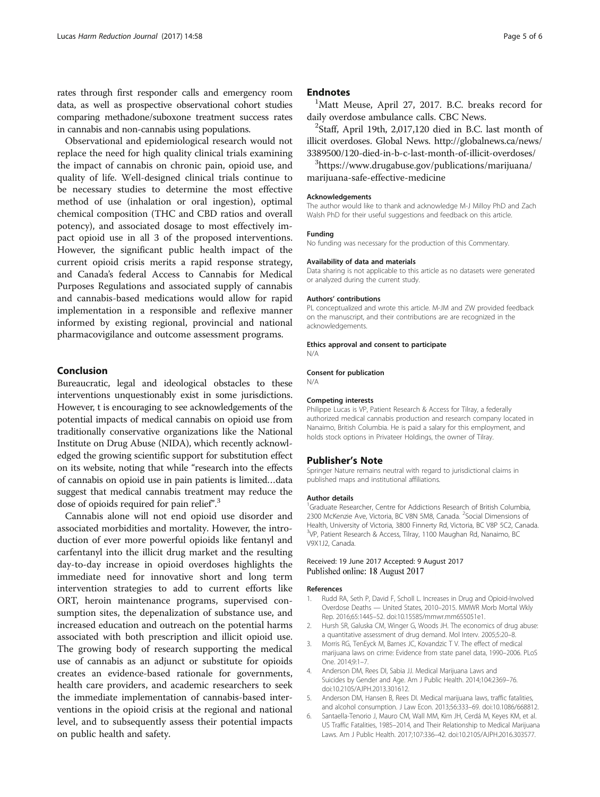<span id="page-4-0"></span>rates through first responder calls and emergency room data, as well as prospective observational cohort studies comparing methadone/suboxone treatment success rates in cannabis and non-cannabis using populations.

Observational and epidemiological research would not replace the need for high quality clinical trials examining the impact of cannabis on chronic pain, opioid use, and quality of life. Well-designed clinical trials continue to be necessary studies to determine the most effective method of use (inhalation or oral ingestion), optimal chemical composition (THC and CBD ratios and overall potency), and associated dosage to most effectively impact opioid use in all 3 of the proposed interventions. However, the significant public health impact of the current opioid crisis merits a rapid response strategy, and Canada's federal Access to Cannabis for Medical Purposes Regulations and associated supply of cannabis and cannabis-based medications would allow for rapid implementation in a responsible and reflexive manner informed by existing regional, provincial and national pharmacovigilance and outcome assessment programs.

## Conclusion

Bureaucratic, legal and ideological obstacles to these interventions unquestionably exist in some jurisdictions. However, t is encouraging to see acknowledgements of the potential impacts of medical cannabis on opioid use from traditionally conservative organizations like the National Institute on Drug Abuse (NIDA), which recently acknowledged the growing scientific support for substitution effect on its website, noting that while "research into the effects of cannabis on opioid use in pain patients is limited…data suggest that medical cannabis treatment may reduce the dose of opioids required for pain relief".<sup>3</sup>

Cannabis alone will not end opioid use disorder and associated morbidities and mortality. However, the introduction of ever more powerful opioids like fentanyl and carfentanyl into the illicit drug market and the resulting day-to-day increase in opioid overdoses highlights the immediate need for innovative short and long term intervention strategies to add to current efforts like ORT, heroin maintenance programs, supervised consumption sites, the depenalization of substance use, and increased education and outreach on the potential harms associated with both prescription and illicit opioid use. The growing body of research supporting the medical use of cannabis as an adjunct or substitute for opioids creates an evidence-based rationale for governments, health care providers, and academic researchers to seek the immediate implementation of cannabis-based interventions in the opioid crisis at the regional and national level, and to subsequently assess their potential impacts on public health and safety.

## **Endnotes**

<sup>1</sup>Matt Meuse, April 27, 2017. B.C. breaks record for daily overdose ambulance calls. CBC News.

 $^{2}$ Staff, April 19th, 2,017,120 died in B.C. last month of illicit overdoses. Global News. [http://globalnews.ca/news/](http://globalnews.ca/news/3389500/120-died-in-b-c-last-month-of-illicit-overdoses/) [3389500/120-died-in-b-c-last-month-of-illicit-overdoses/](http://globalnews.ca/news/3389500/120-died-in-b-c-last-month-of-illicit-overdoses/) <sup>3</sup>

[https://www.drugabuse.gov/publications/marijuana/](https://www.drugabuse.gov/publications/marijuana/marijuana-safe-effective-medicine) [marijuana-safe-effective-medicine](https://www.drugabuse.gov/publications/marijuana/marijuana-safe-effective-medicine)

#### Acknowledgements

The author would like to thank and acknowledge M-J Milloy PhD and Zach Walsh PhD for their useful suggestions and feedback on this article.

# No funding was necessary for the production of this Commentary.

Funding

Availability of data and materials

Data sharing is not applicable to this article as no datasets were generated or analyzed during the current study.

#### Authors' contributions

PL conceptualized and wrote this article. M-JM and ZW provided feedback on the manuscript, and their contributions are are recognized in the acknowledgements.

# Ethics approval and consent to participate

N/A

#### Consent for publication

 $N/f$ 

#### Competing interests

Philippe Lucas is VP, Patient Research & Access for Tilray, a federally authorized medical cannabis production and research company located in Nanaimo, British Columbia. He is paid a salary for this employment, and holds stock options in Privateer Holdings, the owner of Tilray.

#### Publisher's Note

Springer Nature remains neutral with regard to jurisdictional claims in published maps and institutional affiliations.

#### Author details

<sup>1</sup>Graduate Researcher, Centre for Addictions Research of British Columbia, 2300 McKenzie Ave, Victoria, BC V8N 5M8, Canada. <sup>2</sup>Social Dimensions of Health, University of Victoria, 3800 Finnerty Rd, Victoria, BC V8P 5C2, Canada. <sup>3</sup>VP, Patient Research & Access, Tilray, 1100 Maughan Rd, Nanaimo, BC V9X1J2, Canada.

#### Received: 19 June 2017 Accepted: 9 August 2017 Published online: 18 August 2017

#### References

- 1. Rudd RA, Seth P, David F, Scholl L. Increases in Drug and Opioid-Involved Overdose Deaths — United States, 2010–2015. MMWR Morb Mortal Wkly Rep. 2016;65:1445–52. doi[:10.15585/mmwr.mm655051e1.](http://dx.doi.org/10.15585/mmwr.mm655051e1)
- 2. Hursh SR, Galuska CM, Winger G, Woods JH. The economics of drug abuse: a quantitative assessment of drug demand. Mol Interv. 2005;5:20–8.
- 3. Morris RG, TenEyck M, Barnes JC, Kovandzic T V. The effect of medical marijuana laws on crime: Evidence from state panel data, 1990–2006. PLoS One. 2014;9:1–7.
- 4. Anderson DM, Rees DI, Sabia JJ. Medical Marijuana Laws and Suicides by Gender and Age. Am J Public Health. 2014;104:2369–76. doi[:10.2105/AJPH.2013.301612](http://dx.doi.org/10.2105/AJPH.2013.301612).
- 5. Anderson DM, Hansen B, Rees DI. Medical marijuana laws, traffic fatalities, and alcohol consumption. J Law Econ. 2013;56:333–69. doi[:10.1086/668812.](http://dx.doi.org/10.1086/668812)
- 6. Santaella-Tenorio J, Mauro CM, Wall MM, Kim JH, Cerdá M, Keyes KM, et al. US Traffic Fatalities, 1985–2014, and Their Relationship to Medical Marijuana Laws. Am J Public Health. 2017;107:336–42. doi[:10.2105/AJPH.2016.303577.](http://dx.doi.org/10.2105/AJPH.2016.303577)